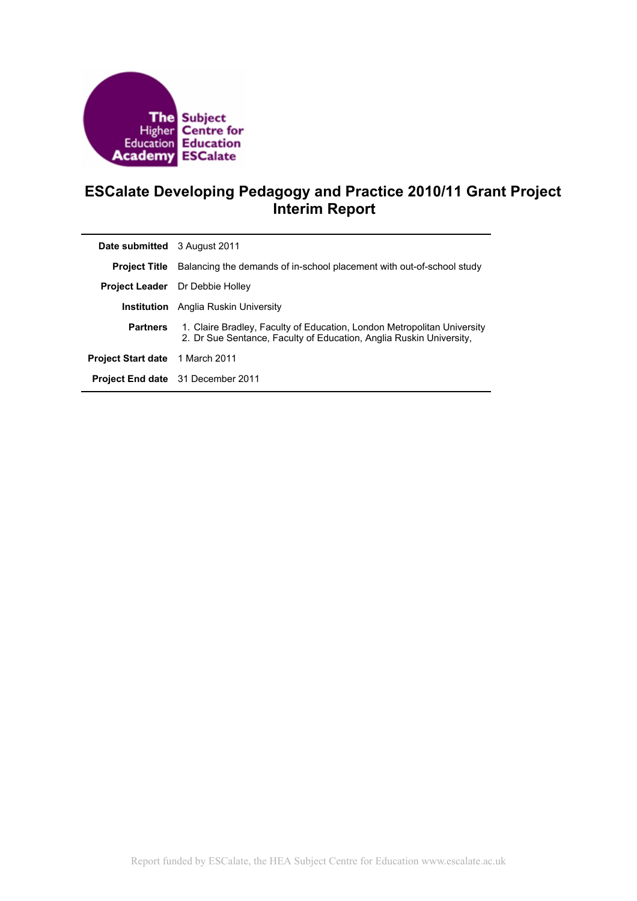

# **ESCalate Developing Pedagogy and Practice 2010/11 Grant Project Interim Report**

| <b>Date submitted</b> 3 August 2011 |                                                                                                                                                |
|-------------------------------------|------------------------------------------------------------------------------------------------------------------------------------------------|
| <b>Project Title</b>                | Balancing the demands of in-school placement with out-of-school study                                                                          |
|                                     | <b>Project Leader</b> Dr Debbie Holley                                                                                                         |
| Institution                         | Anglia Ruskin University                                                                                                                       |
| <b>Partners</b>                     | 1. Claire Bradley, Faculty of Education, London Metropolitan University<br>2. Dr Sue Sentance, Faculty of Education, Anglia Ruskin University. |
| <b>Project Start date</b>           | 1 March 2011                                                                                                                                   |
|                                     | <b>Project End date</b> 31 December 2011                                                                                                       |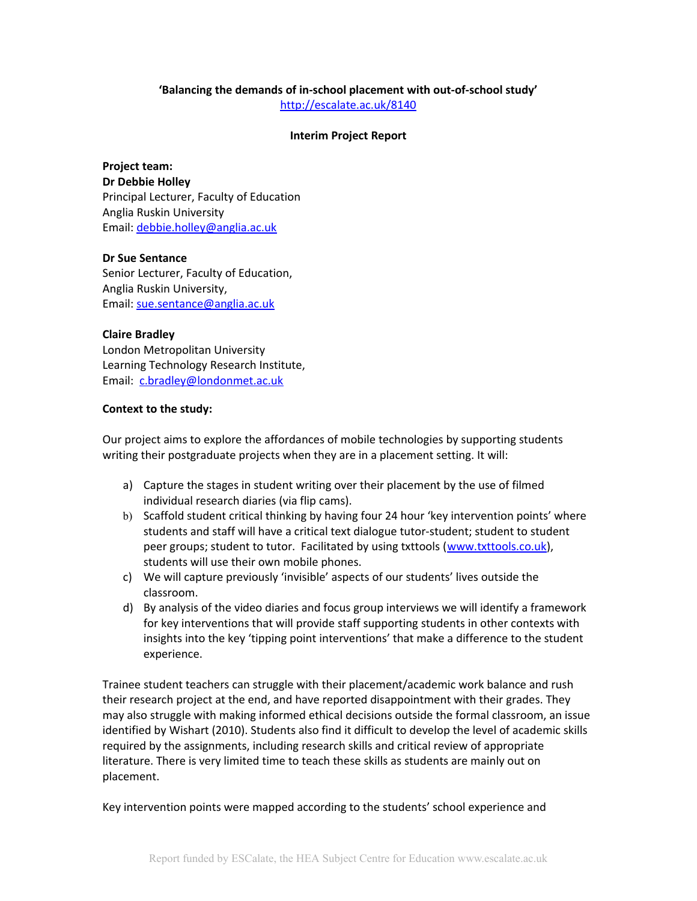## **'Balancing the demands of in-school placement with out-of-school study'**

<http://escalate.ac.uk/8140>

## **Interim Project Report**

**Project team: Dr Debbie Holley**  Principal Lecturer, Faculty of Education Anglia Ruskin University Email: [debbie.holley@anglia.ac.uk](mailto:debbie.holley@anglia.ac.uk)

## **Dr Sue Sentance**

Senior Lecturer, Faculty of Education, Anglia Ruskin University, Email: [sue.sentance@anglia.ac.uk](mailto:sue.sentance@anglia.ac.uk)

## **Claire Bradley**

London Metropolitan University Learning Technology Research Institute, Email: [c.bradley@londonmet.ac.uk](mailto:c.bradley@londonmet.ac.uk)

## **Context to the study:**

Our project aims to explore the affordances of mobile technologies by supporting students writing their postgraduate projects when they are in a placement setting. It will:

- a) Capture the stages in student writing over their placement by the use of filmed individual research diaries (via flip cams).
- b) Scaffold student critical thinking by having four 24 hour 'key intervention points' where students and staff will have a critical text dialogue tutor-student; student to student peer groups; student to tutor. Facilitated by using txttools [\(www.txttools.co.uk\)](http://www.txttools.co.uk/), students will use their own mobile phones.
- c) We will capture previously 'invisible' aspects of our students' lives outside the classroom.
- d) By analysis of the video diaries and focus group interviews we will identify a framework for key interventions that will provide staff supporting students in other contexts with insights into the key 'tipping point interventions' that make a difference to the student experience.

Trainee student teachers can struggle with their placement/academic work balance and rush their research project at the end, and have reported disappointment with their grades. They may also struggle with making informed ethical decisions outside the formal classroom, an issue identified by Wishart (2010). Students also find it difficult to develop the level of academic skills required by the assignments, including research skills and critical review of appropriate literature. There is very limited time to teach these skills as students are mainly out on placement.

Key intervention points were mapped according to the students' school experience and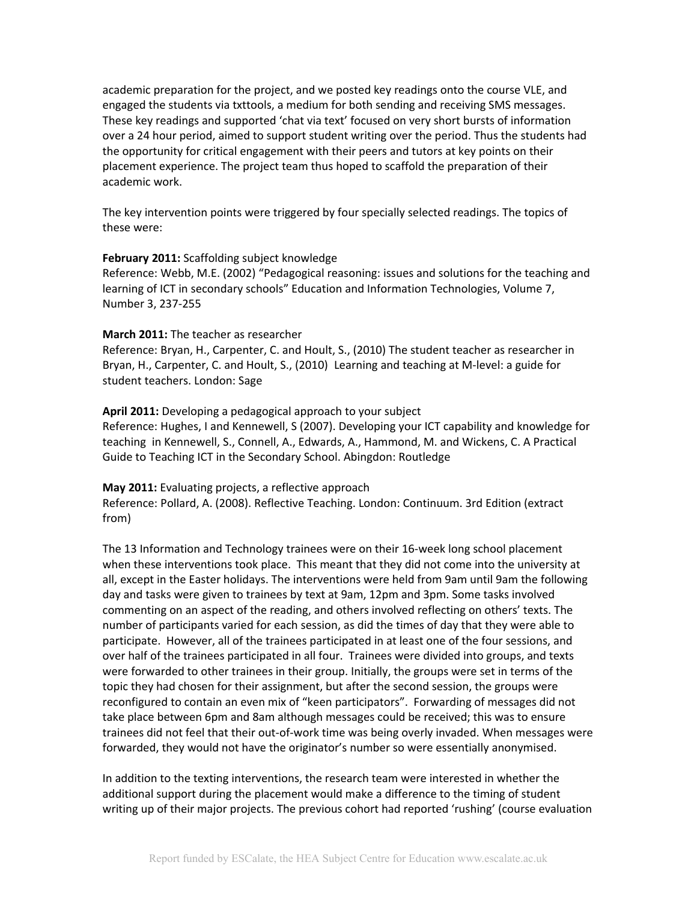academic preparation for the project, and we posted key readings onto the course VLE, and engaged the students via txttools, a medium for both sending and receiving SMS messages. These key readings and supported 'chat via text' focused on very short bursts of information over a 24 hour period, aimed to support student writing over the period. Thus the students had the opportunity for critical engagement with their peers and tutors at key points on their placement experience. The project team thus hoped to scaffold the preparation of their academic work.

The key intervention points were triggered by four specially selected readings. The topics of these were:

#### **February 2011:** Scaffolding subject knowledge

Reference: Webb, M.E. (2002) "Pedagogical reasoning: issues and solutions for the teaching and learning of ICT in secondary schools" Education and Information Technologies, Volume 7, Number 3, 237-255

## **March 2011:** The teacher as researcher

Reference: Bryan, H., Carpenter, C. and Hoult, S., (2010) The student teacher as researcher in Bryan, H., Carpenter, C. and Hoult, S., (2010) Learning and teaching at M-level: a guide for student teachers. London: Sage

#### **April 2011:** Developing a pedagogical approach to your subject

Reference: Hughes, I and Kennewell, S (2007). Developing your ICT capability and knowledge for teaching in Kennewell, S., Connell, A., Edwards, A., Hammond, M. and Wickens, C. A Practical Guide to Teaching ICT in the Secondary School. Abingdon: Routledge

#### **May 2011:** Evaluating projects, a reflective approach

Reference: Pollard, A. (2008). Reflective Teaching. London: Continuum. 3rd Edition (extract from)

The 13 Information and Technology trainees were on their 16-week long school placement when these interventions took place. This meant that they did not come into the university at all, except in the Easter holidays. The interventions were held from 9am until 9am the following day and tasks were given to trainees by text at 9am, 12pm and 3pm. Some tasks involved commenting on an aspect of the reading, and others involved reflecting on others' texts. The number of participants varied for each session, as did the times of day that they were able to participate. However, all of the trainees participated in at least one of the four sessions, and over half of the trainees participated in all four. Trainees were divided into groups, and texts were forwarded to other trainees in their group. Initially, the groups were set in terms of the topic they had chosen for their assignment, but after the second session, the groups were reconfigured to contain an even mix of "keen participators". Forwarding of messages did not take place between 6pm and 8am although messages could be received; this was to ensure trainees did not feel that their out-of-work time was being overly invaded. When messages were forwarded, they would not have the originator's number so were essentially anonymised.

In addition to the texting interventions, the research team were interested in whether the additional support during the placement would make a difference to the timing of student writing up of their major projects. The previous cohort had reported 'rushing' (course evaluation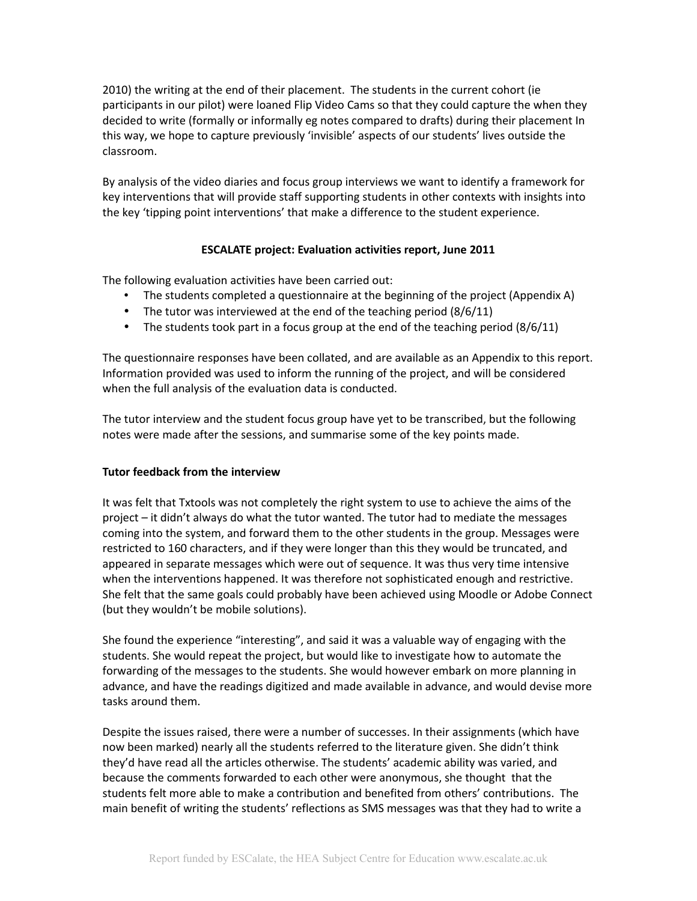2010) the writing at the end of their placement. The students in the current cohort (ie participants in our pilot) were loaned Flip Video Cams so that they could capture the when they decided to write (formally or informally eg notes compared to drafts) during their placement In this way, we hope to capture previously 'invisible' aspects of our students' lives outside the classroom.

By analysis of the video diaries and focus group interviews we want to identify a framework for key interventions that will provide staff supporting students in other contexts with insights into the key 'tipping point interventions' that make a difference to the student experience.

## **ESCALATE project: Evaluation activities report, June 2011**

The following evaluation activities have been carried out:

- The students completed a questionnaire at the beginning of the project (Appendix A)
- The tutor was interviewed at the end of the teaching period  $(8/6/11)$
- The students took part in a focus group at the end of the teaching period  $(8/6/11)$

The questionnaire responses have been collated, and are available as an Appendix to this report. Information provided was used to inform the running of the project, and will be considered when the full analysis of the evaluation data is conducted.

The tutor interview and the student focus group have yet to be transcribed, but the following notes were made after the sessions, and summarise some of the key points made.

## **Tutor feedback from the interview**

It was felt that Txtools was not completely the right system to use to achieve the aims of the project – it didn't always do what the tutor wanted. The tutor had to mediate the messages coming into the system, and forward them to the other students in the group. Messages were restricted to 160 characters, and if they were longer than this they would be truncated, and appeared in separate messages which were out of sequence. It was thus very time intensive when the interventions happened. It was therefore not sophisticated enough and restrictive. She felt that the same goals could probably have been achieved using Moodle or Adobe Connect (but they wouldn't be mobile solutions).

She found the experience "interesting", and said it was a valuable way of engaging with the students. She would repeat the project, but would like to investigate how to automate the forwarding of the messages to the students. She would however embark on more planning in advance, and have the readings digitized and made available in advance, and would devise more tasks around them.

Despite the issues raised, there were a number of successes. In their assignments (which have now been marked) nearly all the students referred to the literature given. She didn't think they'd have read all the articles otherwise. The students' academic ability was varied, and because the comments forwarded to each other were anonymous, she thought that the students felt more able to make a contribution and benefited from others' contributions. The main benefit of writing the students' reflections as SMS messages was that they had to write a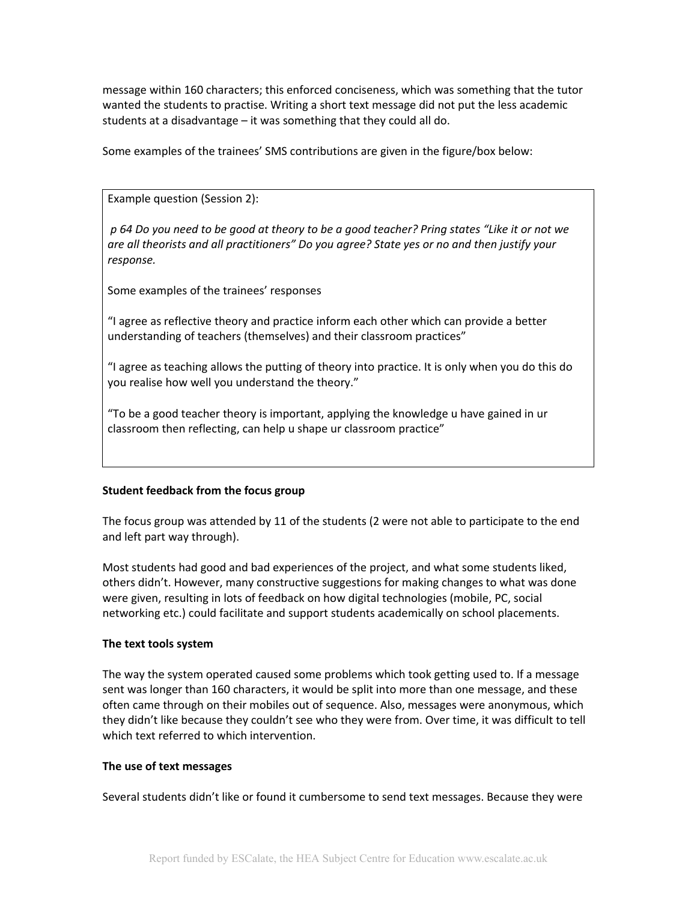message within 160 characters; this enforced conciseness, which was something that the tutor wanted the students to practise. Writing a short text message did not put the less academic students at a disadvantage – it was something that they could all do.

Some examples of the trainees' SMS contributions are given in the figure/box below:

Example question (Session 2):

*p 64 Do you need to be good at theory to be a good teacher? Pring states "Like it or not we are all theorists and all practitioners" Do you agree? State yes or no and then justify your response.*

Some examples of the trainees' responses

"I agree as reflective theory and practice inform each other which can provide a better understanding of teachers (themselves) and their classroom practices"

"I agree as teaching allows the putting of theory into practice. It is only when you do this do you realise how well you understand the theory."

"To be a good teacher theory is important, applying the knowledge u have gained in ur classroom then reflecting, can help u shape ur classroom practice"

## **Student feedback from the focus group**

The focus group was attended by 11 of the students (2 were not able to participate to the end and left part way through).

Most students had good and bad experiences of the project, and what some students liked, others didn't. However, many constructive suggestions for making changes to what was done were given, resulting in lots of feedback on how digital technologies (mobile, PC, social networking etc.) could facilitate and support students academically on school placements.

#### **The text tools system**

The way the system operated caused some problems which took getting used to. If a message sent was longer than 160 characters, it would be split into more than one message, and these often came through on their mobiles out of sequence. Also, messages were anonymous, which they didn't like because they couldn't see who they were from. Over time, it was difficult to tell which text referred to which intervention.

#### **The use of text messages**

Several students didn't like or found it cumbersome to send text messages. Because they were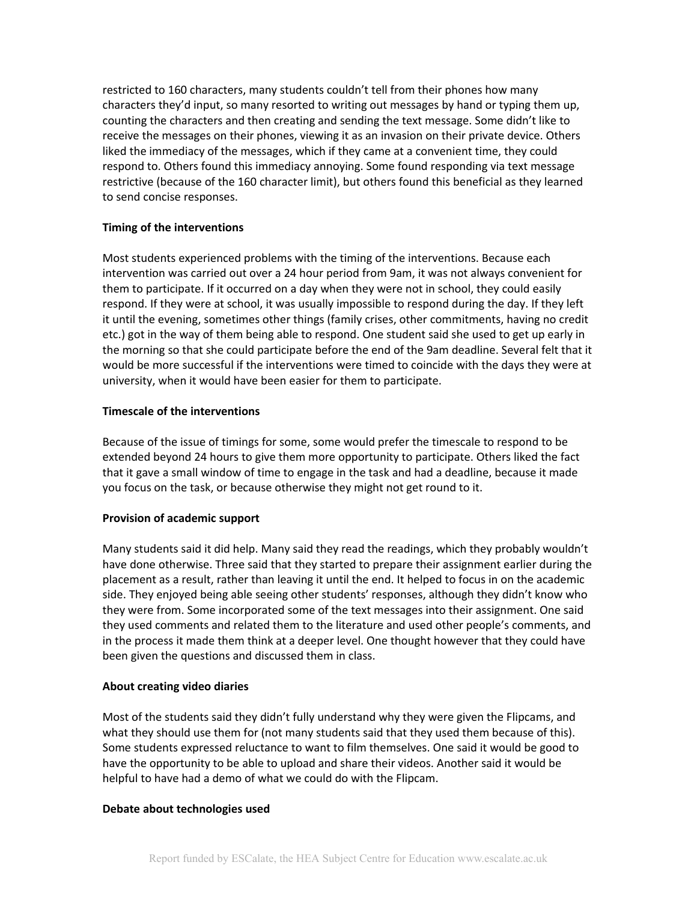restricted to 160 characters, many students couldn't tell from their phones how many characters they'd input, so many resorted to writing out messages by hand or typing them up, counting the characters and then creating and sending the text message. Some didn't like to receive the messages on their phones, viewing it as an invasion on their private device. Others liked the immediacy of the messages, which if they came at a convenient time, they could respond to. Others found this immediacy annoying. Some found responding via text message restrictive (because of the 160 character limit), but others found this beneficial as they learned to send concise responses.

## **Timing of the interventions**

Most students experienced problems with the timing of the interventions. Because each intervention was carried out over a 24 hour period from 9am, it was not always convenient for them to participate. If it occurred on a day when they were not in school, they could easily respond. If they were at school, it was usually impossible to respond during the day. If they left it until the evening, sometimes other things (family crises, other commitments, having no credit etc.) got in the way of them being able to respond. One student said she used to get up early in the morning so that she could participate before the end of the 9am deadline. Several felt that it would be more successful if the interventions were timed to coincide with the days they were at university, when it would have been easier for them to participate.

## **Timescale of the interventions**

Because of the issue of timings for some, some would prefer the timescale to respond to be extended beyond 24 hours to give them more opportunity to participate. Others liked the fact that it gave a small window of time to engage in the task and had a deadline, because it made you focus on the task, or because otherwise they might not get round to it.

## **Provision of academic support**

Many students said it did help. Many said they read the readings, which they probably wouldn't have done otherwise. Three said that they started to prepare their assignment earlier during the placement as a result, rather than leaving it until the end. It helped to focus in on the academic side. They enjoyed being able seeing other students' responses, although they didn't know who they were from. Some incorporated some of the text messages into their assignment. One said they used comments and related them to the literature and used other people's comments, and in the process it made them think at a deeper level. One thought however that they could have been given the questions and discussed them in class.

#### **About creating video diaries**

Most of the students said they didn't fully understand why they were given the Flipcams, and what they should use them for (not many students said that they used them because of this). Some students expressed reluctance to want to film themselves. One said it would be good to have the opportunity to be able to upload and share their videos. Another said it would be helpful to have had a demo of what we could do with the Flipcam.

#### **Debate about technologies used**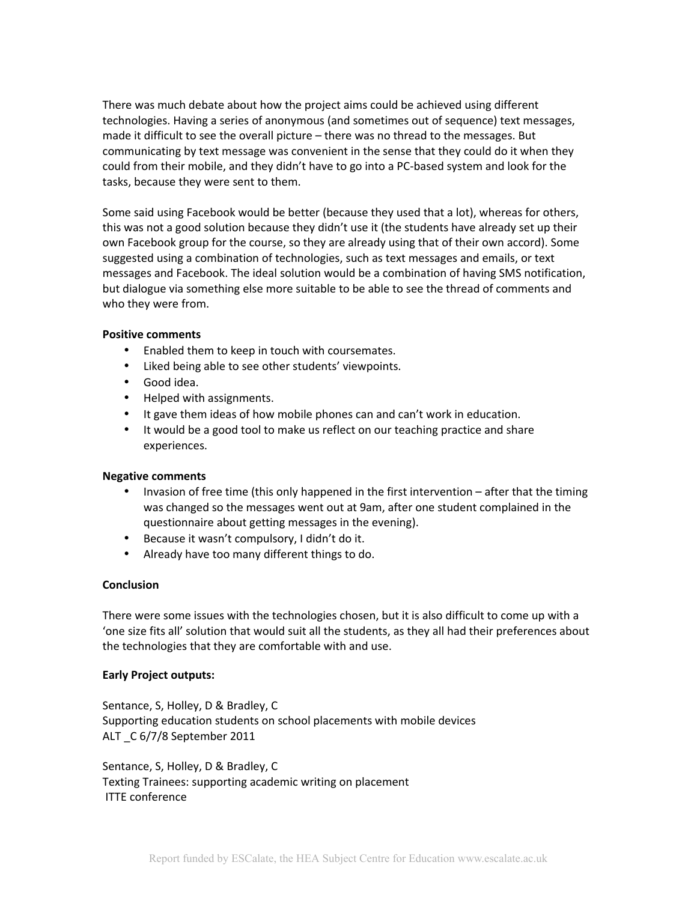There was much debate about how the project aims could be achieved using different technologies. Having a series of anonymous (and sometimes out of sequence) text messages, made it difficult to see the overall picture – there was no thread to the messages. But communicating by text message was convenient in the sense that they could do it when they could from their mobile, and they didn't have to go into a PC-based system and look for the tasks, because they were sent to them.

Some said using Facebook would be better (because they used that a lot), whereas for others, this was not a good solution because they didn't use it (the students have already set up their own Facebook group for the course, so they are already using that of their own accord). Some suggested using a combination of technologies, such as text messages and emails, or text messages and Facebook. The ideal solution would be a combination of having SMS notification, but dialogue via something else more suitable to be able to see the thread of comments and who they were from.

## **Positive comments**

- Enabled them to keep in touch with coursemates.
- Liked being able to see other students' viewpoints.
- Good idea.
- Helped with assignments.
- It gave them ideas of how mobile phones can and can't work in education.
- It would be a good tool to make us reflect on our teaching practice and share experiences.

#### **Negative comments**

- Invasion of free time (this only happened in the first intervention after that the timing was changed so the messages went out at 9am, after one student complained in the questionnaire about getting messages in the evening).
- Because it wasn't compulsory, I didn't do it.
- Already have too many different things to do.

#### **Conclusion**

There were some issues with the technologies chosen, but it is also difficult to come up with a 'one size fits all' solution that would suit all the students, as they all had their preferences about the technologies that they are comfortable with and use.

#### **Early Project outputs:**

Sentance, S, Holley, D & Bradley, C Supporting education students on school placements with mobile devices ALT \_C 6/7/8 September 2011

Sentance, S, Holley, D & Bradley, C Texting Trainees: supporting academic writing on placement ITTE conference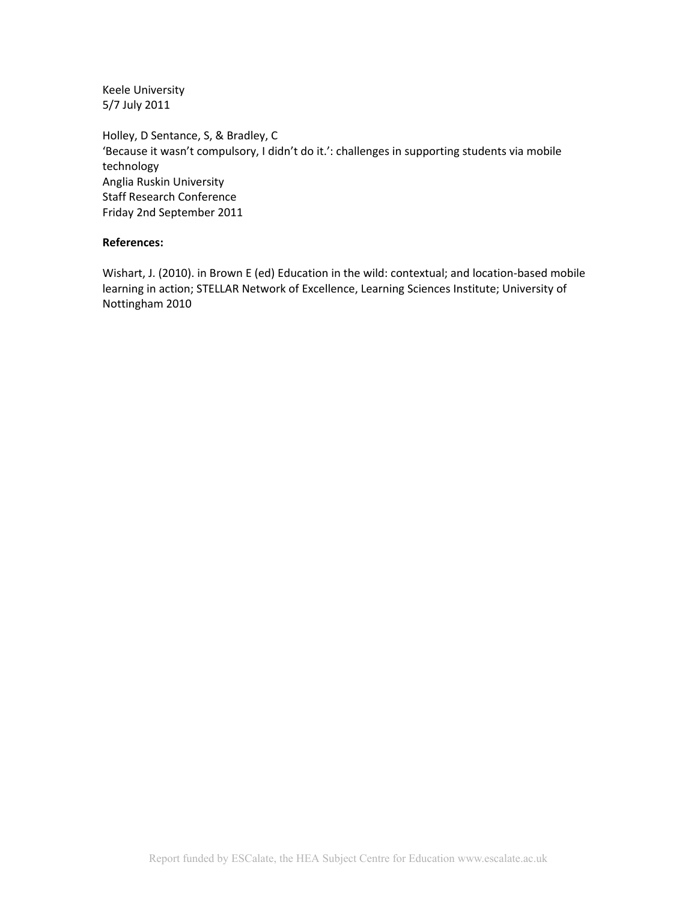Keele University 5/7 July 2011

Holley, D Sentance, S, & Bradley, C 'Because it wasn't compulsory, I didn't do it.': challenges in supporting students via mobile technology Anglia Ruskin University Staff Research Conference Friday 2nd September 2011

#### **References:**

Wishart, J. (2010). in Brown E (ed) Education in the wild: contextual; and location-based mobile learning in action; STELLAR Network of Excellence, Learning Sciences Institute; University of Nottingham 2010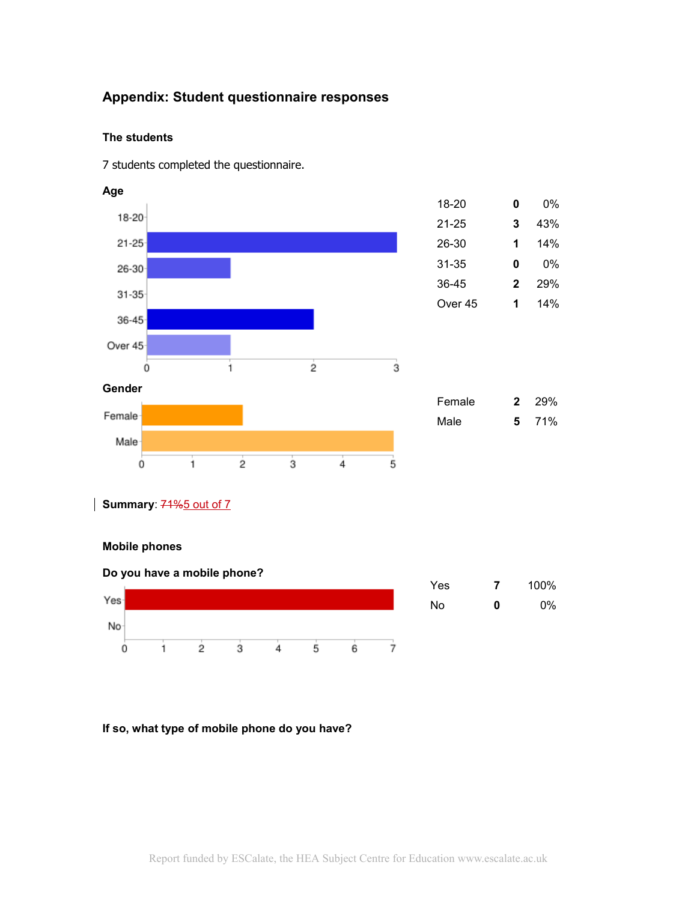## **Appendix: Student questionnaire responses**

## **The students**

7 students completed the questionnaire.



## **Mobile phones**



## **If so, what type of mobile phone do you have?**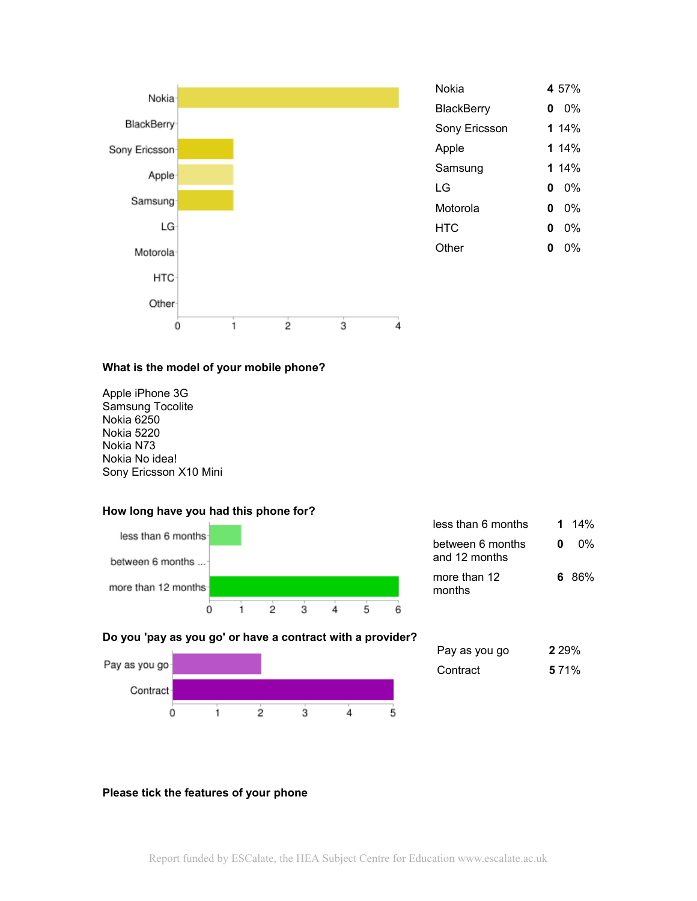

#### **What is the model of your mobile phone?**

Apple iPhone 3G Samsung Tocolite Nokia 6250 Nokia 5220 Nokia N73 Nokia No idea! Sony Ericsson X10 Mini

#### **How long have you had this phone for?**



| less than 6 months                |   | 1 14%  |
|-----------------------------------|---|--------|
| between 6 months<br>and 12 months | n | $0\%$  |
| more than 12<br>months            |   | 6. 86% |

#### **Do you 'pay as you go' or have a contract with a provider?**



| Pay as you go | 2 2 9 % |
|---------------|---------|
| Contract      | 5 7 1 % |

## **Please tick the features of your phone**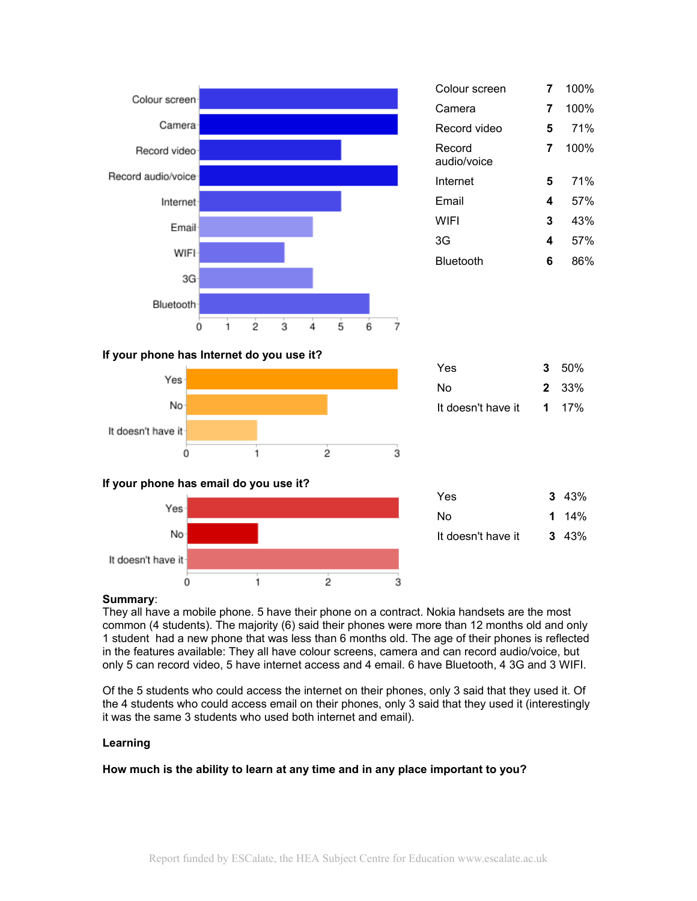



0



| Yes                | $3\;\;43\%$   |
|--------------------|---------------|
| N٥                 | 1 $14\%$      |
| It doesn't have it | $3\quad 43\%$ |

## **Summary**:

It doesn't have it

They all have a mobile phone. 5 have their phone on a contract. Nokia handsets are the most common (4 students). The majority (6) said their phones were more than 12 months old and only 1 student had a new phone that was less than 6 months old. The age of their phones is reflected in the features available: They all have colour screens, camera and can record audio/voice, but only 5 can record video, 5 have internet access and 4 email. 6 have Bluetooth, 4 3G and 3 WIFI.

 $\overline{2}$ 

3

Of the 5 students who could access the internet on their phones, only 3 said that they used it. Of the 4 students who could access email on their phones, only 3 said that they used it (interestingly it was the same 3 students who used both internet and email).

## **Learning**

**How much is the ability to learn at any time and in any place important to you?**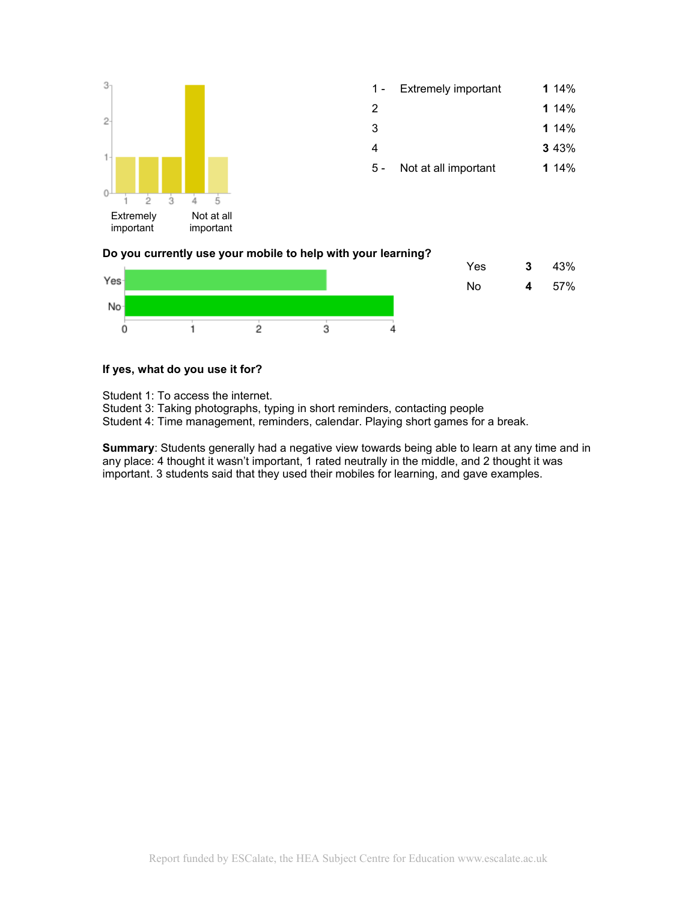

|   | 1 - Extremely important | 1 $14%$ |
|---|-------------------------|---------|
| 2 |                         | 1 $14%$ |
| 3 |                         | 1 $14%$ |

4 **3** 43%

5 - Not at all important **1** 14%

## **Do you currently use your mobile to help with your learning?**



## **If yes, what do you use it for?**

Student 1: To access the internet.

Student 3: Taking photographs, typing in short reminders, contacting people

Student 4: Time management, reminders, calendar. Playing short games for a break.

**Summary**: Students generally had a negative view towards being able to learn at any time and in any place: 4 thought it wasn't important, 1 rated neutrally in the middle, and 2 thought it was important. 3 students said that they used their mobiles for learning, and gave examples.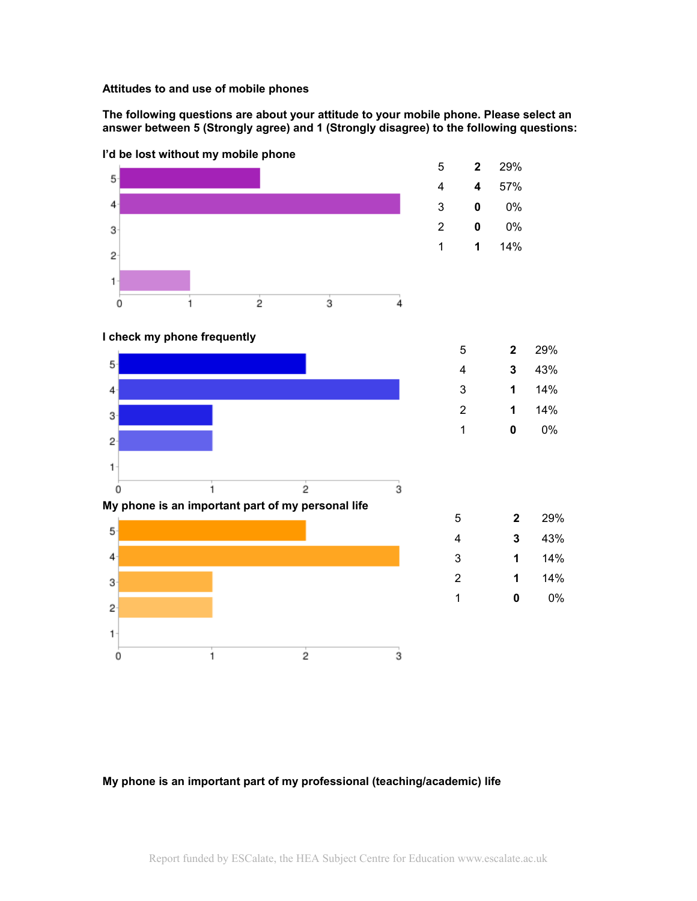#### **Attitudes to and use of mobile phones**

**The following questions are about your attitude to your mobile phone. Please select an answer between 5 (Strongly agree) and 1 (Strongly disagree) to the following questions:**



3 **1** 14% 2 **1** 14% 1 **0** 0%

**I'd be lost without my mobile phone**

 $\overline{4}$ 

 $3 -$ 

 $\overline{2}$ 

 $\mathbf{1}$  $\dot{0}$ 

#### **My phone is an important part of my professional (teaching/academic) life**

 $\overline{2}$ 

 $\mathbf{1}$ 

 $\overline{3}$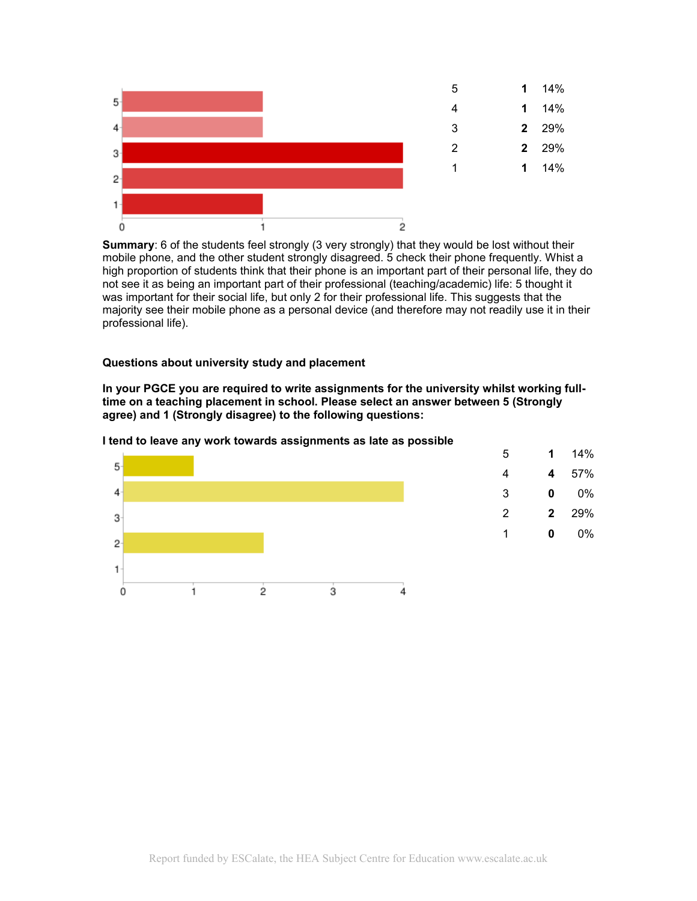

**Summary**: 6 of the students feel strongly (3 very strongly) that they would be lost without their mobile phone, and the other student strongly disagreed. 5 check their phone frequently. Whist a high proportion of students think that their phone is an important part of their personal life, they do not see it as being an important part of their professional (teaching/academic) life: 5 thought it was important for their social life, but only 2 for their professional life. This suggests that the majority see their mobile phone as a personal device (and therefore may not readily use it in their professional life).

#### **Questions about university study and placement**

**In your PGCE you are required to write assignments for the university whilst working fulltime on a teaching placement in school. Please select an answer between 5 (Strongly agree) and 1 (Strongly disagree) to the following questions:**

#### **I tend to leave any work towards assignments as late as possible**

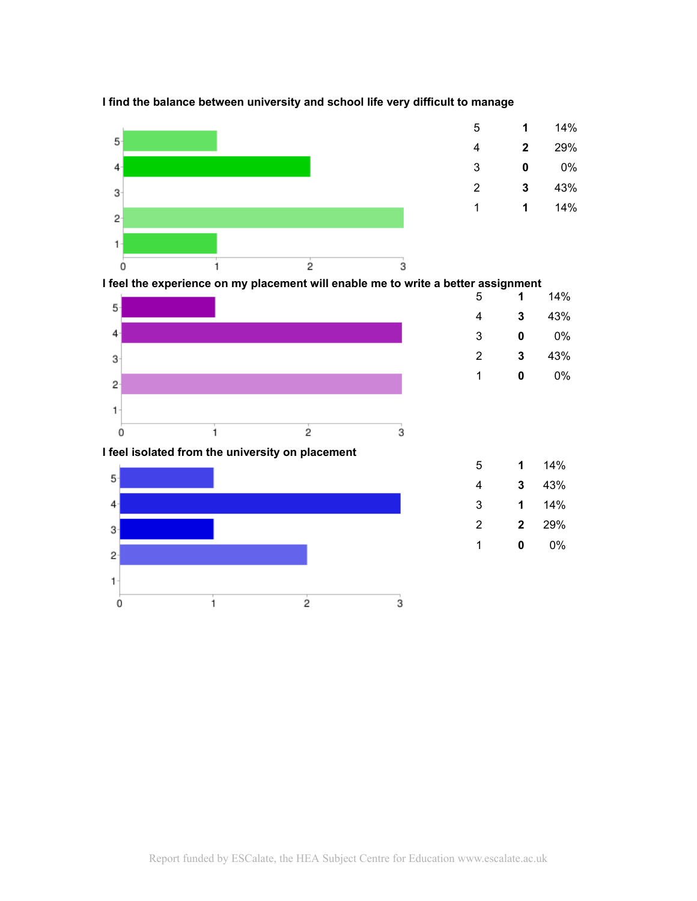

## **I find the balance between university and school life very difficult to manage**

 **1** 14% **2** 29% **0** 0% **3** 43% **1** 14%

 **1** 14% **3** 43% **1** 14% **2** 29% **0** 0%

**I** feel the experience on my placement will enable me to write a better assignment



## **I feel isolated from the university on placement**